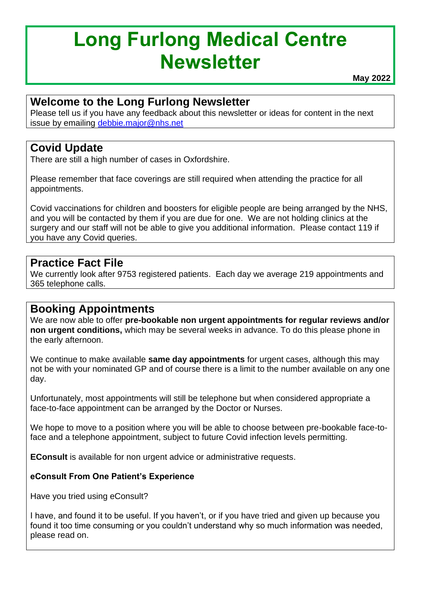# **Long Furlong Medical Centre Newsletter**

**May 2022**

### **Welcome to the Long Furlong Newsletter**

Please tell us if you have any feedback about this newsletter or ideas for content in the next issue by emailing [debbie.major@nhs.net](mailto:debbie.major@nhs.net)

#### **Covid Update**

There are still a high number of cases in Oxfordshire.

Please remember that face coverings are still required when attending the practice for all appointments.

Covid vaccinations for children and boosters for eligible people are being arranged by the NHS, and you will be contacted by them if you are due for one. We are not holding clinics at the surgery and our staff will not be able to give you additional information. Please contact 119 if you have any Covid queries.

#### **Practice Fact File**

We currently look after 9753 registered patients. Each day we average 219 appointments and 365 telephone calls.

#### **Booking Appointments**

We are now able to offer **pre-bookable non urgent appointments for regular reviews and/or non urgent conditions,** which may be several weeks in advance. To do this please phone in the early afternoon.

We continue to make available **same day appointments** for urgent cases, although this may not be with your nominated GP and of course there is a limit to the number available on any one day.

Unfortunately, most appointments will still be telephone but when considered appropriate a face-to-face appointment can be arranged by the Doctor or Nurses.

We hope to move to a position where you will be able to choose between pre-bookable face-toface and a telephone appointment, subject to future Covid infection levels permitting.

**EConsult** is available for non urgent advice or administrative requests.

#### **eConsult From One Patient's Experience**

Have you tried using eConsult?

I have, and found it to be useful. If you haven't, or if you have tried and given up because you found it too time consuming or you couldn't understand why so much information was needed, please read on.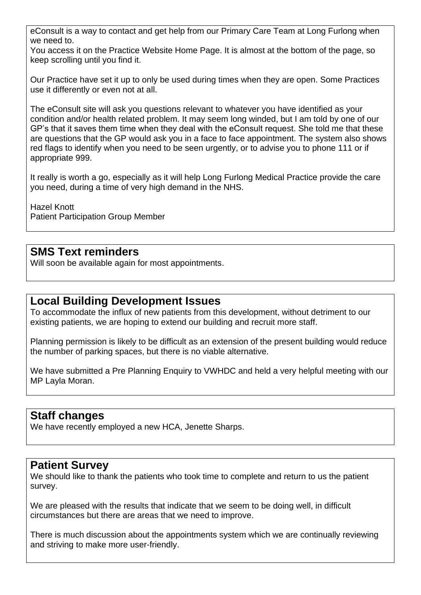eConsult is a way to contact and get help from our Primary Care Team at Long Furlong when we need to.

You access it on the Practice Website Home Page. It is almost at the bottom of the page, so keep scrolling until you find it.

Our Practice have set it up to only be used during times when they are open. Some Practices use it differently or even not at all.

The eConsult site will ask you questions relevant to whatever you have identified as your condition and/or health related problem. It may seem long winded, but I am told by one of our GP's that it saves them time when they deal with the eConsult request. She told me that these are questions that the GP would ask you in a face to face appointment. The system also shows red flags to identify when you need to be seen urgently, or to advise you to phone 111 or if appropriate 999.

It really is worth a go, especially as it will help Long Furlong Medical Practice provide the care you need, during a time of very high demand in the NHS.

Hazel Knott Patient Participation Group Member

#### **SMS Text reminders**

Will soon be available again for most appointments.

#### **Local Building Development Issues**

To accommodate the influx of new patients from this development, without detriment to our existing patients, we are hoping to extend our building and recruit more staff.

Planning permission is likely to be difficult as an extension of the present building would reduce the number of parking spaces, but there is no viable alternative.

We have submitted a Pre Planning Enquiry to VWHDC and held a very helpful meeting with our MP Layla Moran.

#### **Staff changes**

We have recently employed a new HCA, Jenette Sharps.

#### **Patient Survey**

We should like to thank the patients who took time to complete and return to us the patient survey.

We are pleased with the results that indicate that we seem to be doing well, in difficult circumstances but there are areas that we need to improve.

There is much discussion about the appointments system which we are continually reviewing and striving to make more user-friendly.